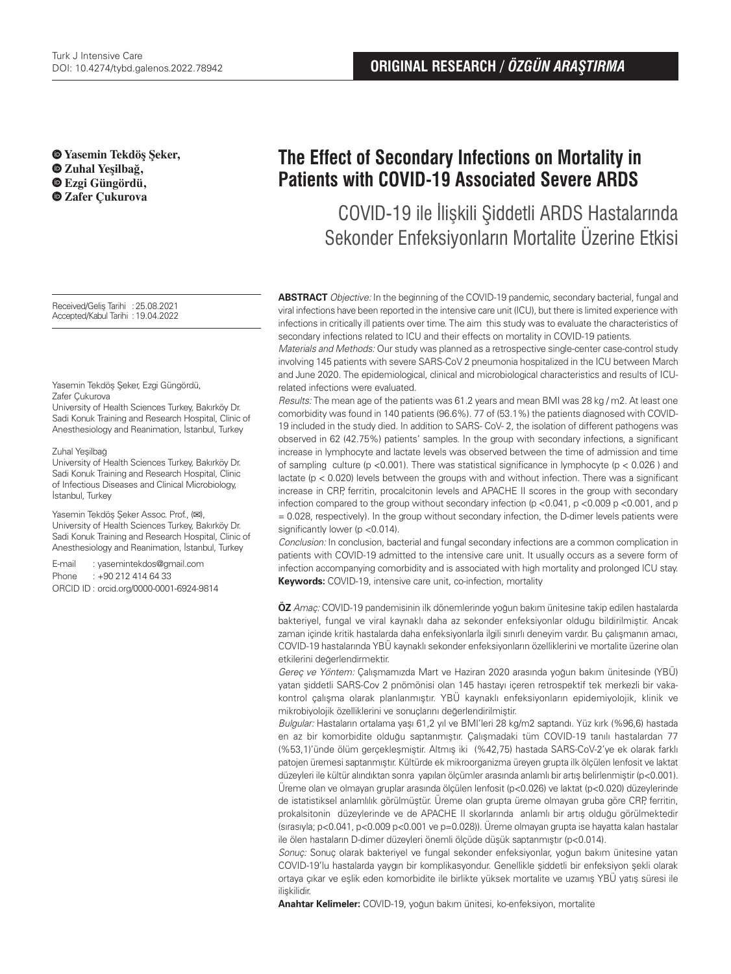**Yasemin Tekdöş Şeker, Zuhal Yeşilbağ, Ezgi Güngördü, Zafer Çukurova**

Received/Geliş Tarihi :25.08.2021 Accepted/Kabul Tarihi :19.04.2022

Yasemin Tekdöş Şeker, Ezgi Güngördü, Zafer Çukurova

University of Health Sciences Turkey, Bakırköy Dr. Sadi Konuk Training and Research Hospital, Clinic of Anesthesiology and Reanimation, İstanbul, Turkey

#### Zuhal Yeşilbağ

University of Health Sciences Turkey, Bakırköy Dr. Sadi Konuk Training and Research Hospital, Clinic of Infectious Diseases and Clinical Microbiology, İstanbul, Turkey

Yasemin Tekdöş Şeker Assoc. Prof., (**✉**), University of Health Sciences Turkey, Bakırköy Dr. Sadi Konuk Training and Research Hospital, Clinic of Anesthesiology and Reanimation, İstanbul, Turkey

E-mail : yasemintekdos@gmail.com Phone : +90 212 414 64 33 ORCID ID : orcid.org/0000-0001-6924-9814

# **The Effect of Secondary Infections on Mortality in Patients with COVID-19 Associated Severe ARDS**

COVID-19 ile İlişkili Şiddetli ARDS Hastalarında Sekonder Enfeksiyonların Mortalite Üzerine Etkisi

**ABSTRACT** Objective: In the beginning of the COVID-19 pandemic, secondary bacterial, fungal and viral infections have been reported in the intensive care unit (ICU), but there is limited experience with infections in critically ill patients over time. The aim this study was to evaluate the characteristics of secondary infections related to ICU and their effects on mortality in COVID-19 patients.

Materials and Methods: Our study was planned as a retrospective single-center case-control study involving 145 patients with severe SARS-CoV 2 pneumonia hospitalized in the ICU between March and June 2020. The epidemiological, clinical and microbiological characteristics and results of ICUrelated infections were evaluated.

Results: The mean age of the patients was 61.2 years and mean BMI was 28 kg / m2. At least one comorbidity was found in 140 patients (96.6%). 77 of (53.1%) the patients diagnosed with COVID-19 included in the study died. In addition to SARS- CoV- 2, the isolation of different pathogens was observed in 62 (42.75%) patients' samples. In the group with secondary infections, a significant increase in lymphocyte and lactate levels was observed between the time of admission and time of sampling culture ( $p < 0.001$ ). There was statistical significance in lymphocyte ( $p < 0.026$ ) and lactate (p < 0.020) levels between the groups with and without infection. There was a significant increase in CRP, ferritin, procalcitonin levels and APACHE II scores in the group with secondary infection compared to the group without secondary infection ( $p < 0.041$ ,  $p < 0.009$   $p < 0.001$ , and p = 0.028, respectively). In the group without secondary infection, the D-dimer levels patients were significantly lower (p <0.014).

Conclusion: In conclusion, bacterial and fungal secondary infections are a common complication in patients with COVID-19 admitted to the intensive care unit. It usually occurs as a severe form of infection accompanying comorbidity and is associated with high mortality and prolonged ICU stay. **Keywords:** COVID-19, intensive care unit, co-infection, mortality

**ÖZ** Amaç: COVID-19 pandemisinin ilk dönemlerinde yoğun bakım ünitesine takip edilen hastalarda bakteriyel, fungal ve viral kaynaklı daha az sekonder enfeksiyonlar olduğu bildirilmiştir. Ancak zaman içinde kritik hastalarda daha enfeksiyonlarla ilgili sınırlı deneyim vardır. Bu çalışmanın amacı, COVID-19 hastalarında YBÜ kaynaklı sekonder enfeksiyonların özelliklerini ve mortalite üzerine olan etkilerini değerlendirmektir.

Gereç ve Yöntem: Çalışmamızda Mart ve Haziran 2020 arasında yoğun bakım ünitesinde (YBÜ) yatan şiddetli SARS-Cov 2 pnömönisi olan 145 hastayı içeren retrospektif tek merkezli bir vakakontrol çalışma olarak planlanmıştır. YBÜ kaynaklı enfeksiyonların epidemiyolojik, klinik ve mikrobiyolojik özelliklerini ve sonuçlarını değerlendirilmiştir.

Bulgular: Hastaların ortalama yaşı 61,2 yıl ve BMI'leri 28 kg/m2 saptandı. Yüz kırk (%96,6) hastada en az bir komorbidite olduğu saptanmıştır. Çalışmadaki tüm COVID-19 tanılı hastalardan 77 (%53,1)'ünde ölüm gerçekleşmiştir. Altmış iki (%42,75) hastada SARS-CoV-2'ye ek olarak farklı patojen üremesi saptanmıştır. Kültürde ek mikroorganizma üreyen grupta ilk ölçülen lenfosit ve laktat düzeyleri ile kültür alındıktan sonra yapılan ölçümler arasında anlamlı bir artış belirlenmiştir (p<0.001). Üreme olan ve olmayan gruplar arasında ölçülen lenfosit (p<0.026) ve laktat (p<0.020) düzeylerinde de istatistiksel anlamlılık görülmüştür. Üreme olan grupta üreme olmayan gruba göre CRP, ferritin, prokalsitonin düzeylerinde ve de APACHE II skorlarında anlamlı bir artış olduğu görülmektedir (sırasıyla; p<0.041, p<0.009 p<0.001 ve p=0.028)). Üreme olmayan grupta ise hayatta kalan hastalar ile ölen hastaların D-dimer düzeyleri önemli ölçüde düşük saptanmıştır (p<0.014).

Sonuç: Sonuç olarak bakteriyel ve fungal sekonder enfeksiyonlar, yoğun bakım ünitesine yatan COVID-19'lu hastalarda yaygın bir komplikasyondur. Genellikle şiddetli bir enfeksiyon şekli olarak ortaya çıkar ve eşlik eden komorbidite ile birlikte yüksek mortalite ve uzamış YBÜ yatış süresi ile ilişkilidir.

**Anahtar Kelimeler:** COVID-19, yoğun bakım ünitesi, ko-enfeksiyon, mortalite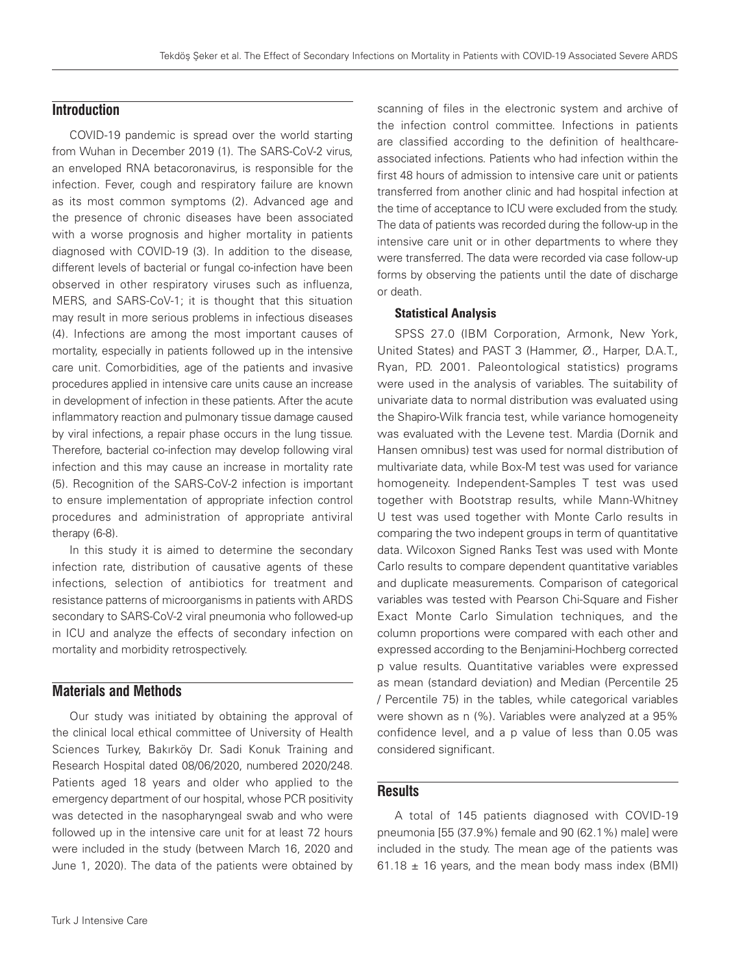## **Introduction**

COVID-19 pandemic is spread over the world starting from Wuhan in December 2019 (1). The SARS-CoV-2 virus, an enveloped RNA betacoronavirus, is responsible for the infection. Fever, cough and respiratory failure are known as its most common symptoms (2). Advanced age and the presence of chronic diseases have been associated with a worse prognosis and higher mortality in patients diagnosed with COVID-19 (3). In addition to the disease, different levels of bacterial or fungal co-infection have been observed in other respiratory viruses such as influenza, MERS, and SARS-CoV-1; it is thought that this situation may result in more serious problems in infectious diseases (4). Infections are among the most important causes of mortality, especially in patients followed up in the intensive care unit. Comorbidities, age of the patients and invasive procedures applied in intensive care units cause an increase in development of infection in these patients. After the acute inflammatory reaction and pulmonary tissue damage caused by viral infections, a repair phase occurs in the lung tissue. Therefore, bacterial co-infection may develop following viral infection and this may cause an increase in mortality rate (5). Recognition of the SARS-CoV-2 infection is important to ensure implementation of appropriate infection control procedures and administration of appropriate antiviral therapy (6-8).

In this study it is aimed to determine the secondary infection rate, distribution of causative agents of these infections, selection of antibiotics for treatment and resistance patterns of microorganisms in patients with ARDS secondary to SARS-CoV-2 viral pneumonia who followed-up in ICU and analyze the effects of secondary infection on mortality and morbidity retrospectively.

## **Materials and Methods**

Our study was initiated by obtaining the approval of the clinical local ethical committee of University of Health Sciences Turkey, Bakırköy Dr. Sadi Konuk Training and Research Hospital dated 08/06/2020, numbered 2020/248. Patients aged 18 years and older who applied to the emergency department of our hospital, whose PCR positivity was detected in the nasopharyngeal swab and who were followed up in the intensive care unit for at least 72 hours were included in the study (between March 16, 2020 and June 1, 2020). The data of the patients were obtained by scanning of files in the electronic system and archive of the infection control committee. Infections in patients are classified according to the definition of healthcareassociated infections. Patients who had infection within the first 48 hours of admission to intensive care unit or patients transferred from another clinic and had hospital infection at the time of acceptance to ICU were excluded from the study. The data of patients was recorded during the follow-up in the intensive care unit or in other departments to where they were transferred. The data were recorded via case follow-up forms by observing the patients until the date of discharge or death.

#### Statistical Analysis

SPSS 27.0 (IBM Corporation, Armonk, New York, United States) and PAST 3 (Hammer, Ø., Harper, D.A.T., Ryan, P.D. 2001. Paleontological statistics) programs were used in the analysis of variables. The suitability of univariate data to normal distribution was evaluated using the Shapiro-Wilk francia test, while variance homogeneity was evaluated with the Levene test. Mardia (Dornik and Hansen omnibus) test was used for normal distribution of multivariate data, while Box-M test was used for variance homogeneity. Independent-Samples T test was used together with Bootstrap results, while Mann-Whitney U test was used together with Monte Carlo results in comparing the two indepent groups in term of quantitative data. Wilcoxon Signed Ranks Test was used with Monte Carlo results to compare dependent quantitative variables and duplicate measurements. Comparison of categorical variables was tested with Pearson Chi-Square and Fisher Exact Monte Carlo Simulation techniques, and the column proportions were compared with each other and expressed according to the Benjamini-Hochberg corrected p value results. Quantitative variables were expressed as mean (standard deviation) and Median (Percentile 25 / Percentile 75) in the tables, while categorical variables were shown as n (%). Variables were analyzed at a 95% confidence level, and a p value of less than 0.05 was considered significant.

## **Results**

A total of 145 patients diagnosed with COVID-19 pneumonia [55 (37.9%) female and 90 (62.1%) male] were included in the study. The mean age of the patients was 61.18  $\pm$  16 years, and the mean body mass index (BMI)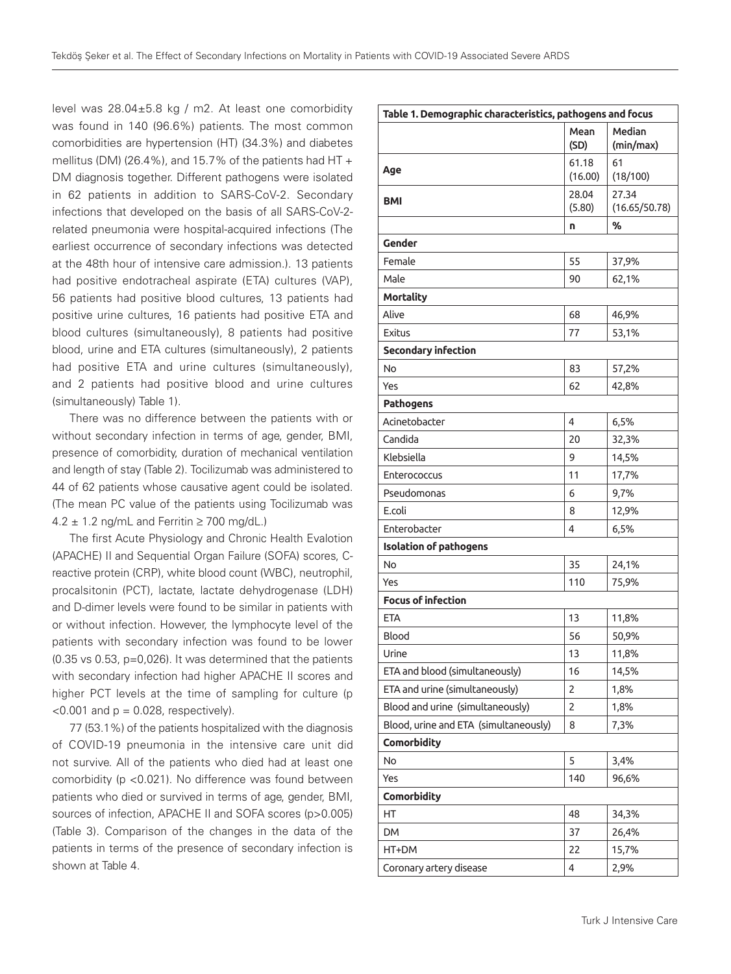level was 28.04±5.8 kg / m2. At least one comorbidity was found in 140 (96.6%) patients. The most common comorbidities are hypertension (HT) (34.3%) and diabetes mellitus (DM) (26.4%), and 15.7% of the patients had HT + DM diagnosis together. Different pathogens were isolated in 62 patients in addition to SARS-CoV-2. Secondary infections that developed on the basis of all SARS-CoV-2 related pneumonia were hospital-acquired infections (The earliest occurrence of secondary infections was detected at the 48th hour of intensive care admission.). 13 patients had positive endotracheal aspirate (ETA) cultures (VAP), 56 patients had positive blood cultures, 13 patients had positive urine cultures, 16 patients had positive ETA and blood cultures (simultaneously), 8 patients had positive blood, urine and ETA cultures (simultaneously), 2 patients had positive ETA and urine cultures (simultaneously), and 2 patients had positive blood and urine cultures (simultaneously) Table 1).

There was no difference between the patients with or without secondary infection in terms of age, gender, BMI, presence of comorbidity, duration of mechanical ventilation and length of stay (Table 2). Tocilizumab was administered to 44 of 62 patients whose causative agent could be isolated. (The mean PC value of the patients using Tocilizumab was  $4.2 \pm 1.2$  ng/mL and Ferritin  $\geq 700$  mg/dL.)

The first Acute Physiology and Chronic Health Evalotion (APACHE) II and Sequential Organ Failure (SOFA) scores, Creactive protein (CRP), white blood count (WBC), neutrophil, procalsitonin (PCT), lactate, lactate dehydrogenase (LDH) and D-dimer levels were found to be similar in patients with or without infection. However, the lymphocyte level of the patients with secondary infection was found to be lower (0.35 vs 0.53, p=0,026). It was determined that the patients with secondary infection had higher APACHE II scores and higher PCT levels at the time of sampling for culture (p  $<$ 0.001 and  $p = 0.028$ , respectively).

77 (53.1%) of the patients hospitalized with the diagnosis of COVID-19 pneumonia in the intensive care unit did not survive. All of the patients who died had at least one comorbidity (p <0.021). No difference was found between patients who died or survived in terms of age, gender, BMI, sources of infection, APACHE II and SOFA scores (p>0.005) (Table 3). Comparison of the changes in the data of the patients in terms of the presence of secondary infection is shown at Table 4.

| Table 1. Demographic characteristics, pathogens and focus |                  |                        |
|-----------------------------------------------------------|------------------|------------------------|
|                                                           | Mean<br>(SD)     | Median<br>(min/max)    |
| Age                                                       | 61.18<br>(16.00) | 61<br>(18/100)         |
| <b>BMI</b>                                                | 28.04<br>(5.80)  | 27.34<br>(16.65/50.78) |
|                                                           | n                | ℅                      |
| Gender                                                    |                  |                        |
| Female                                                    | 55               | 37,9%                  |
| Male                                                      | 90               | 62,1%                  |
| <b>Mortality</b>                                          |                  |                        |
| Alive                                                     | 68               | 46,9%                  |
| <b>Exitus</b>                                             | 77               | 53,1%                  |
| <b>Secondary infection</b>                                |                  |                        |
| No                                                        | 83               | 57,2%                  |
| Yes                                                       | 62               | 42,8%                  |
| <b>Pathogens</b>                                          |                  |                        |
| Acinetobacter                                             | 4                | 6,5%                   |
| Candida                                                   | 20               | 32,3%                  |
| Klebsiella                                                | 9                | 14,5%                  |
| Enterococcus                                              | 11               | 17,7%                  |
| Pseudomonas                                               | 6                | 9,7%                   |
| E.coli                                                    | 8                | 12,9%                  |
| Enterobacter                                              | 4                | 6,5%                   |
| <b>Isolation of pathogens</b>                             |                  |                        |
| No                                                        | 35               | 24,1%                  |
| Yes                                                       | 110              | 75,9%                  |
| <b>Focus of infection</b>                                 |                  |                        |
| <b>ETA</b>                                                | 13               | 11,8%                  |
| Blood                                                     | 56               | 50,9%                  |
| Urine                                                     | 13               | 11,8%                  |
| ETA and blood (simultaneously)                            | 16               | 14,5%                  |
| ETA and urine (simultaneously)                            | 2                | 1,8%                   |
| Blood and urine (simultaneously)                          | 2                | 1,8%                   |
| Blood, urine and ETA (simultaneously)                     | 8                | 7,3%                   |
| <b>Comorbidity</b>                                        |                  |                        |
| No                                                        | 5                | 3,4%                   |
| Yes                                                       | 140              | 96,6%                  |
| Comorbidity                                               |                  |                        |
| НT                                                        | 48               | 34,3%                  |
| <b>DM</b>                                                 | 37               | 26,4%                  |
| HT+DM                                                     | 22               | 15,7%                  |
| Coronary artery disease                                   | 4                | 2,9%                   |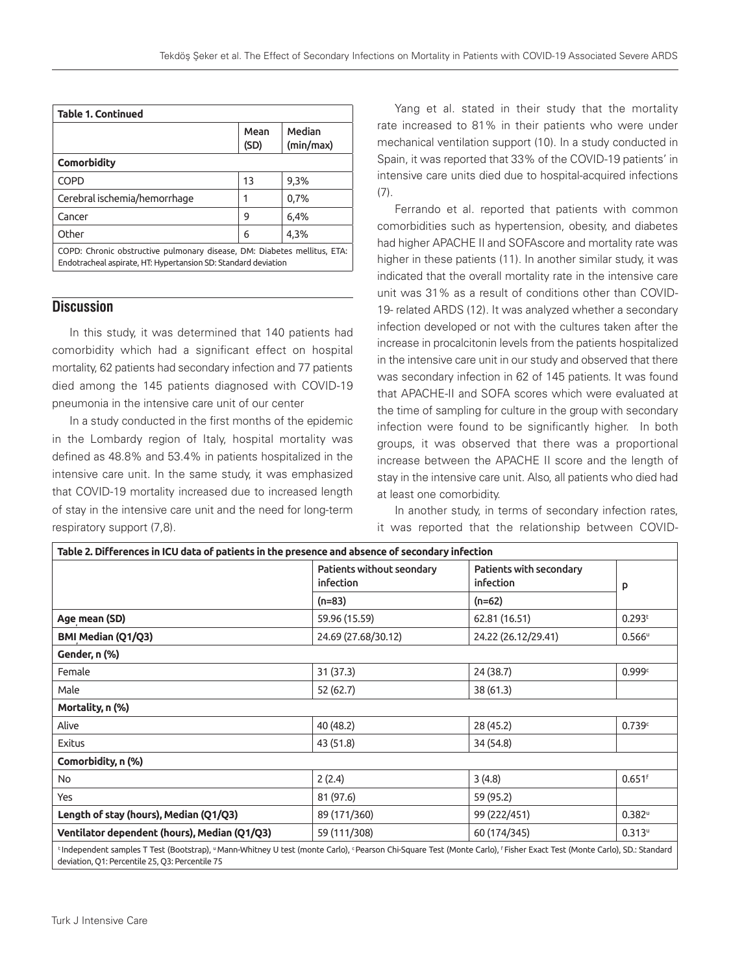| <b>Table 1. Continued</b>                                                                                                                  |              |                     |
|--------------------------------------------------------------------------------------------------------------------------------------------|--------------|---------------------|
|                                                                                                                                            | Mean<br>(SD) | Median<br>(min/max) |
| Comorbidity                                                                                                                                |              |                     |
| <b>COPD</b>                                                                                                                                | 13           | 9,3%                |
| Cerebral ischemia/hemorrhage                                                                                                               |              | 0,7%                |
| Cancer                                                                                                                                     | 9            | 6,4%                |
| Other                                                                                                                                      | 6            | 4,3%                |
| COPD: Chronic obstructive pulmonary disease, DM: Diabetes mellitus, ETA:<br>Endotracheal aspirate, HT: Hypertansion SD: Standard deviation |              |                     |

## **Discussion**

In this study, it was determined that 140 patients had comorbidity which had a significant effect on hospital mortality, 62 patients had secondary infection and 77 patients died among the 145 patients diagnosed with COVID-19 pneumonia in the intensive care unit of our center

In a study conducted in the first months of the epidemic in the Lombardy region of Italy, hospital mortality was defined as 48.8% and 53.4% in patients hospitalized in the intensive care unit. In the same study, it was emphasized that COVID-19 mortality increased due to increased length of stay in the intensive care unit and the need for long-term respiratory support (7,8).

Yang et al. stated in their study that the mortality rate increased to 81% in their patients who were under mechanical ventilation support (10). In a study conducted in Spain, it was reported that 33% of the COVID-19 patients' in intensive care units died due to hospital-acquired infections (7).

Ferrando et al. reported that patients with common comorbidities such as hypertension, obesity, and diabetes had higher APACHE II and SOFAscore and mortality rate was higher in these patients (11). In another similar study, it was indicated that the overall mortality rate in the intensive care unit was 31% as a result of conditions other than COVID-19- related ARDS (12). It was analyzed whether a secondary infection developed or not with the cultures taken after the increase in procalcitonin levels from the patients hospitalized in the intensive care unit in our study and observed that there was secondary infection in 62 of 145 patients. It was found that APACHE-II and SOFA scores which were evaluated at the time of sampling for culture in the group with secondary infection were found to be significantly higher. In both groups, it was observed that there was a proportional increase between the APACHE II score and the length of stay in the intensive care unit. Also, all patients who died had at least one comorbidity.

In another study, in terms of secondary infection rates, it was reported that the relationship between COVID-

|                                              | Patients without seondary<br>infection | Patients with secondary<br>infection | p                    |
|----------------------------------------------|----------------------------------------|--------------------------------------|----------------------|
|                                              | $(n=83)$                               | $(n=62)$                             |                      |
| Age mean (SD)                                | 59.96 (15.59)                          | 62.81 (16.51)                        | 0.293 <sup>t</sup>   |
| BMI Median (Q1/Q3)                           | 24.69 (27.68/30.12)                    | 24.22 (26.12/29.41)                  | $0.566^{\circ}$      |
| Gender, n (%)                                |                                        |                                      |                      |
| Female                                       | 31(37.3)                               | 24 (38.7)                            | 0.999c               |
| Male                                         | 52 (62.7)                              | 38 (61.3)                            |                      |
| Mortality, n (%)                             |                                        |                                      |                      |
| Alive                                        | 40 (48.2)                              | 28 (45.2)                            | 0.739c               |
| <b>Exitus</b>                                | 43 (51.8)                              | 34 (54.8)                            |                      |
| Comorbidity, n (%)                           |                                        |                                      |                      |
| No                                           | 2(2.4)                                 | 3(4.8)                               | $0.651$ <sup>f</sup> |
| Yes                                          | 81 (97.6)                              | 59 (95.2)                            |                      |
| Length of stay (hours), Median (Q1/Q3)       | 89 (171/360)                           | 99 (222/451)                         | $0.382^u$            |
| Ventilator dependent (hours), Median (Q1/Q3) | 59 (111/308)                           | 60 (174/345)                         | $0.313^u$            |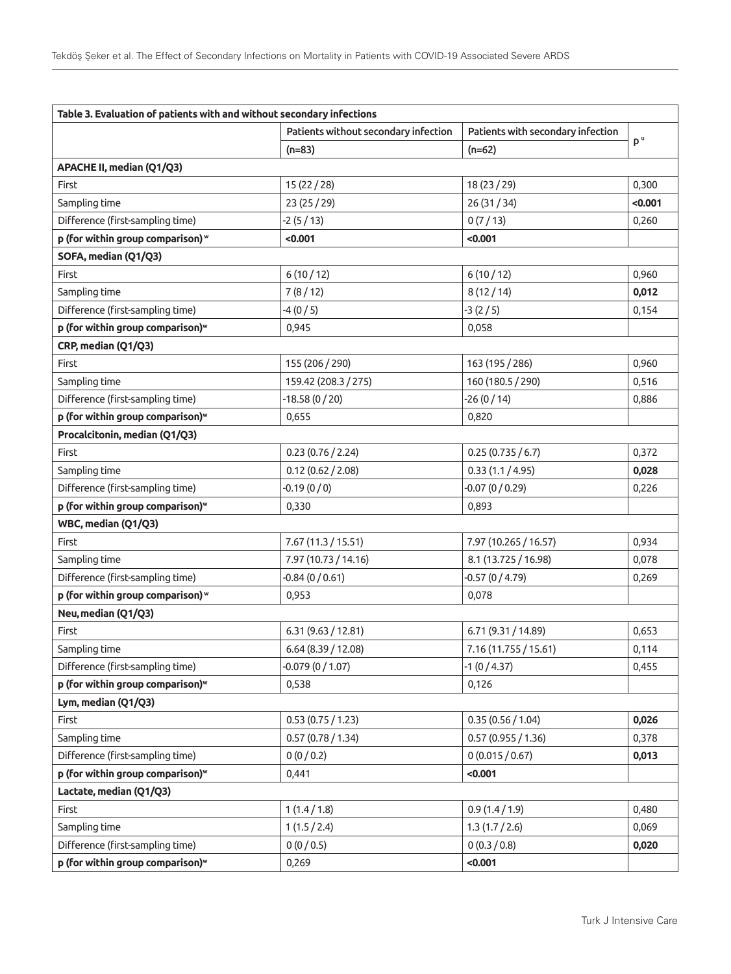| Table 3. Evaluation of patients with and without secondary infections |                                      |                                   |                |
|-----------------------------------------------------------------------|--------------------------------------|-----------------------------------|----------------|
|                                                                       | Patients without secondary infection | Patients with secondary infection |                |
|                                                                       | $(n=83)$                             | $(n=62)$                          | p <sup>u</sup> |
| APACHE II, median (Q1/Q3)                                             |                                      |                                   |                |
| First                                                                 | 15(22/28)                            | 18 (23 / 29)                      | 0,300          |
| Sampling time                                                         | 23 (25 / 29)                         | 26(31/34)                         | < 0.001        |
| Difference (first-sampling time)                                      | -2 (5 / 13)                          | 0(7/13)                           | 0,260          |
| p (for within group comparison) w                                     | < 0.001                              | < 0.001                           |                |
| SOFA, median (Q1/Q3)                                                  |                                      |                                   |                |
| First                                                                 | 6(10/12)                             | 6(10/12)                          | 0,960          |
| Sampling time                                                         | 7(8/12)                              | 8(12/14)                          | 0,012          |
| Difference (first-sampling time)                                      | $-4(0/5)$                            | $-3(2/5)$                         | 0,154          |
| p (for within group comparison) <sup>w</sup>                          | 0,945                                | 0,058                             |                |
| CRP, median (Q1/Q3)                                                   |                                      |                                   |                |
| First                                                                 | 155 (206 / 290)                      | 163 (195 / 286)                   | 0,960          |
| Sampling time                                                         | 159.42 (208.3 / 275)                 | 160 (180.5 / 290)                 | 0,516          |
| Difference (first-sampling time)                                      | $-18.58(0/20)$                       | $-26(0/14)$                       | 0,886          |
| p (for within group comparison) <sup>w</sup>                          | 0,655                                | 0,820                             |                |
| Procalcitonin, median (Q1/Q3)                                         |                                      |                                   |                |
| First                                                                 | 0.23(0.76/2.24)                      | 0.25(0.735/6.7)                   | 0,372          |
| Sampling time                                                         | 0.12(0.62/2.08)                      | 0.33(1.1/4.95)                    | 0,028          |
| Difference (first-sampling time)                                      | $-0.19(0/0)$                         | $-0.07(0/0.29)$                   | 0,226          |
| p (for within group comparison) <sup>w</sup>                          | 0,330                                | 0,893                             |                |
| WBC, median (Q1/Q3)                                                   |                                      |                                   |                |
| First                                                                 | 7.67(11.3/15.51)                     | 7.97 (10.265 / 16.57)             | 0,934          |
| Sampling time                                                         | 7.97 (10.73 / 14.16)                 | 8.1 (13.725 / 16.98)              | 0,078          |
| Difference (first-sampling time)                                      | $-0.84(0/0.61)$                      | $-0.57(0/4.79)$                   | 0,269          |
| p (for within group comparison) w                                     | 0,953                                | 0,078                             |                |
| Neu, median (Q1/Q3)                                                   |                                      |                                   |                |
| First                                                                 | 6.31(9.63/12.81)                     | 6.71 (9.31 / 14.89)               | 0,653          |
| Sampling time                                                         | 6.64 (8.39 / 12.08)                  | 7.16 (11.755 / 15.61)             | 0,114          |
| Difference (first-sampling time)                                      | $-0.079(0/1.07)$                     | $-1(0/4.37)$                      | 0,455          |
| p (for within group comparison) <sup>w</sup>                          | 0,538                                | 0,126                             |                |
| Lym, median (Q1/Q3)                                                   |                                      |                                   |                |
| First                                                                 | 0.53(0.75/1.23)                      | 0.35(0.56/1.04)                   | 0,026          |
| Sampling time                                                         | 0.57(0.78/1.34)                      | 0.57(0.955/1.36)                  | 0,378          |
| Difference (first-sampling time)                                      | 0(0/0.2)                             | 0(0.015/0.67)                     | 0,013          |
| p (for within group comparison) <sup>w</sup>                          | 0,441                                | < 0.001                           |                |
| Lactate, median (Q1/Q3)                                               |                                      |                                   |                |
| First                                                                 | 1(1.4/1.8)                           | 0.9(1.4/1.9)                      | 0,480          |
| Sampling time                                                         | 1(1.5/2.4)                           | 1.3(1.7/2.6)                      | 0,069          |
| Difference (first-sampling time)                                      | 0(0/0.5)                             | 0(0.3/0.8)                        | 0,020          |
| p (for within group comparison) <sup>w</sup>                          | 0,269                                | < 0.001                           |                |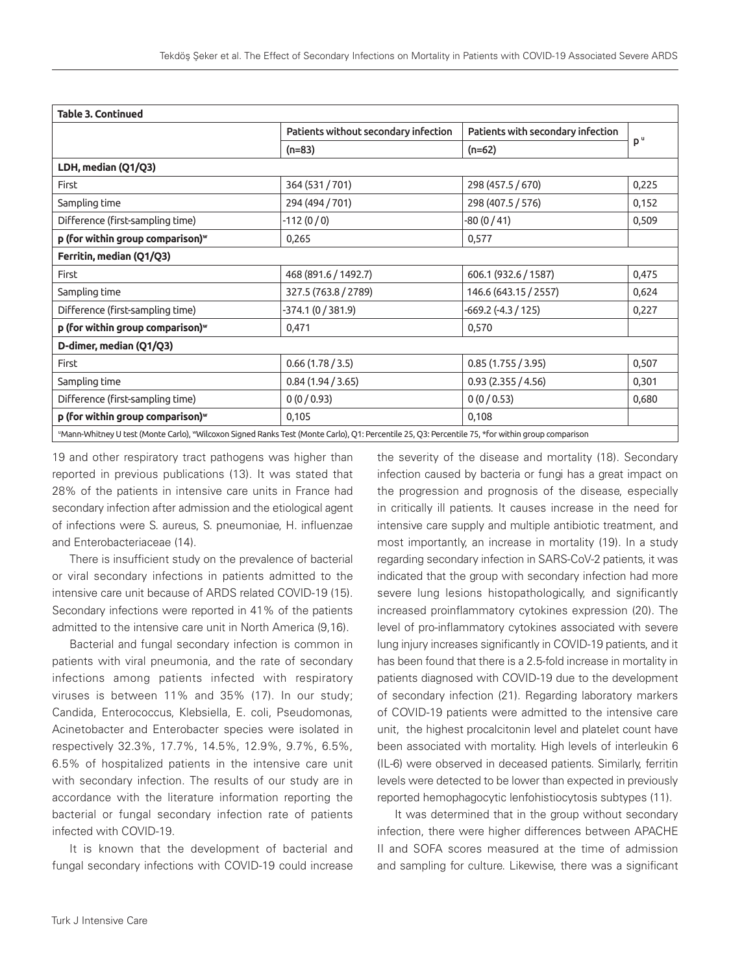| <b>Table 3. Continued</b>                                                                                                                         |                                      |                                   |                |
|---------------------------------------------------------------------------------------------------------------------------------------------------|--------------------------------------|-----------------------------------|----------------|
|                                                                                                                                                   | Patients without secondary infection | Patients with secondary infection |                |
|                                                                                                                                                   | $(n=83)$                             | $(n=62)$                          | D <sup>u</sup> |
| LDH, median (Q1/Q3)                                                                                                                               |                                      |                                   |                |
| First                                                                                                                                             | 364 (531 / 701)                      | 298 (457.5 / 670)                 | 0,225          |
| Sampling time                                                                                                                                     | 294 (494 / 701)                      | 298 (407.5 / 576)                 | 0,152          |
| Difference (first-sampling time)                                                                                                                  | $-112(0/0)$                          | $-80(0/41)$                       | 0,509          |
| p (for within group comparison) <sup>w</sup>                                                                                                      | 0,265                                | 0,577                             |                |
| Ferritin, median (Q1/Q3)                                                                                                                          |                                      |                                   |                |
| First                                                                                                                                             | 468 (891.6 / 1492.7)                 | 606.1 (932.6 / 1587)              | 0,475          |
| Sampling time                                                                                                                                     | 327.5 (763.8 / 2789)                 | 146.6 (643.15 / 2557)             | 0,624          |
| Difference (first-sampling time)                                                                                                                  | -374.1 (0 / 381.9)                   | $-669.2$ (-4.3 / 125)             | 0,227          |
| p (for within group comparison) <sup>w</sup>                                                                                                      | 0,471                                | 0,570                             |                |
| D-dimer, median (Q1/Q3)                                                                                                                           |                                      |                                   |                |
| First                                                                                                                                             | 0.66(1.78/3.5)                       | 0.85(1.755/3.95)                  | 0,507          |
| Sampling time                                                                                                                                     | 0.84(1.94/3.65)                      | 0.93(2.355/4.56)                  | 0,301          |
| Difference (first-sampling time)                                                                                                                  | 0(0/0.93)                            | 0(0/0.53)                         | 0,680          |
| p (for within group comparison) <sup>w</sup>                                                                                                      | 0,105                                | 0,108                             |                |
| "Mann-Whitney U test (Monte Carlo), "Wilcoxon Signed Ranks Test (Monte Carlo), Q1: Percentile 25, Q3: Percentile 75, *for within group comparison |                                      |                                   |                |

19 and other respiratory tract pathogens was higher than reported in previous publications (13). It was stated that 28% of the patients in intensive care units in France had secondary infection after admission and the etiological agent of infections were S. aureus, S. pneumoniae, H. influenzae and Enterobacteriaceae (14).

There is insufficient study on the prevalence of bacterial or viral secondary infections in patients admitted to the intensive care unit because of ARDS related COVID-19 (15). Secondary infections were reported in 41% of the patients admitted to the intensive care unit in North America (9,16).

Bacterial and fungal secondary infection is common in patients with viral pneumonia, and the rate of secondary infections among patients infected with respiratory viruses is between 11% and 35% (17). In our study; Candida, Enterococcus, Klebsiella, E. coli, Pseudomonas, Acinetobacter and Enterobacter species were isolated in respectively 32.3%, 17.7%, 14.5%, 12.9%, 9.7%, 6.5%, 6.5% of hospitalized patients in the intensive care unit with secondary infection. The results of our study are in accordance with the literature information reporting the bacterial or fungal secondary infection rate of patients infected with COVID-19.

It is known that the development of bacterial and fungal secondary infections with COVID-19 could increase

the severity of the disease and mortality (18). Secondary infection caused by bacteria or fungi has a great impact on the progression and prognosis of the disease, especially in critically ill patients. It causes increase in the need for intensive care supply and multiple antibiotic treatment, and most importantly, an increase in mortality (19). In a study regarding secondary infection in SARS-CoV-2 patients, it was indicated that the group with secondary infection had more severe lung lesions histopathologically, and significantly increased proinflammatory cytokines expression (20). The level of pro-inflammatory cytokines associated with severe lung injury increases significantly in COVID-19 patients, and it has been found that there is a 2.5-fold increase in mortality in patients diagnosed with COVID-19 due to the development of secondary infection (21). Regarding laboratory markers of COVID-19 patients were admitted to the intensive care unit, the highest procalcitonin level and platelet count have been associated with mortality. High levels of interleukin 6 (IL-6) were observed in deceased patients. Similarly, ferritin levels were detected to be lower than expected in previously reported hemophagocytic lenfohistiocytosis subtypes (11).

It was determined that in the group without secondary infection, there were higher differences between APACHE II and SOFA scores measured at the time of admission and sampling for culture. Likewise, there was a significant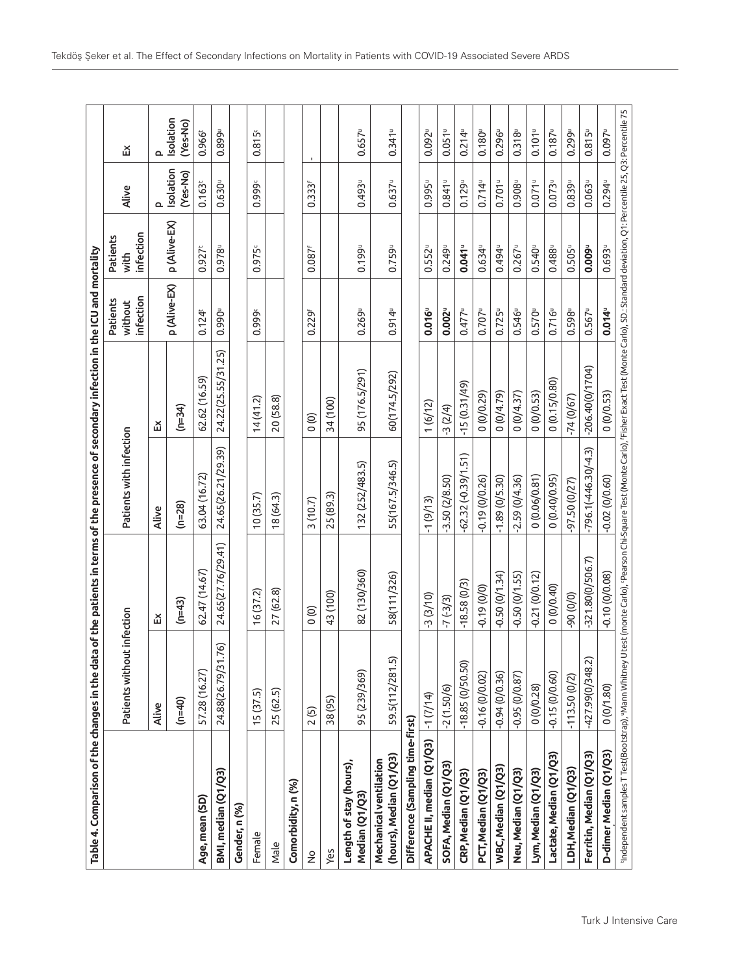| Table 4. Comparison of the changes in the data of the patients in terms of the presence of secondary infection in the ICU and mortality |                              |                                                                                                                                                             |                         |                    |                                  |                               |                       |                       |
|-----------------------------------------------------------------------------------------------------------------------------------------|------------------------------|-------------------------------------------------------------------------------------------------------------------------------------------------------------|-------------------------|--------------------|----------------------------------|-------------------------------|-----------------------|-----------------------|
|                                                                                                                                         | Patients without infection   |                                                                                                                                                             | Patients with infection |                    | infection<br>Patients<br>without | infection<br>Patients<br>with | Alive                 | 띳                     |
|                                                                                                                                         | Alive                        | 띳                                                                                                                                                           | Alive                   | 띳                  |                                  |                               | മ                     | ௨                     |
|                                                                                                                                         | $(n=40)$                     | $(n=43)$                                                                                                                                                    | $(n=28)$                | $(n=34)$           | p (Alive-EX)                     | p (Alive-EX)                  | Isolation<br>(Yes-No) | Isolation<br>(Yes-No) |
| Age, mean (SD)                                                                                                                          | 57.28 (16.27)                | 62.47 (14.67)                                                                                                                                               | 63.04 (16.72)           | 62.62 (16.59)      | 0.124 <sup>t</sup>               | $0.927$ <sup>t</sup>          | 0.163 <sup>t</sup>    | 0.966                 |
| BMI, median (Q1/Q3)                                                                                                                     | <u>ି</u><br>24.88(26.79/31.7 | 24.65(27.76/29.41)                                                                                                                                          | 24.65(26.21/29.39)      | 24.22(25.55/31.25) | 0.990                            | 0.978                         | $0.630^{\circ}$       | 0.899 <sup>u</sup>    |
| Gender, n (%)                                                                                                                           |                              |                                                                                                                                                             |                         |                    |                                  |                               |                       |                       |
| Female                                                                                                                                  | 15(37.5)                     | 16 (37.2)                                                                                                                                                   | 10(35.7)                | 14(41.2)           | 0.999                            | 0.975                         | 0.999                 | 0.815c                |
| Male                                                                                                                                    | 25 (62.5)                    | 27 (62.8)                                                                                                                                                   | 18(64.3)                | 20 (58.8)          |                                  |                               |                       |                       |
| Comorbidity, n (%)                                                                                                                      |                              |                                                                                                                                                             |                         |                    |                                  |                               |                       |                       |
| $\frac{1}{2}$                                                                                                                           | 2(5)                         | $\circ$                                                                                                                                                     | 3(10.7)                 | $\circ$            | 0.229 <sup>f</sup>               | $0.087^{f}$                   | $0.333^{f}$           |                       |
| Yes                                                                                                                                     | 38 (95)                      | 43 (100)                                                                                                                                                    | 25 (89.3)               | 34 (100)           |                                  |                               |                       |                       |
| Length of stay (hours),<br>Median (Q1/Q3)                                                                                               | 95 (239/369)                 | 82 (130/360)                                                                                                                                                | 132 (252/483.5)         | 95 (176.5/291)     | $0.269$ <sup>u</sup>             | 0.1999                        | 0.4939                | $0.657^u$             |
| (hours), Median (Q1/Q3)<br>Mechanical ventilation                                                                                       | 59.5(112/281.5)              | 58(111/326)                                                                                                                                                 | 55(167.5/346.5)         | 60(174.5/292)      | $0.914^{\circ}$                  | 0.759                         | $0.637^u$             | $0.341^u$             |
| Difference (Sampling time-first)                                                                                                        |                              |                                                                                                                                                             |                         |                    |                                  |                               |                       |                       |
| APACHE II, median (Q1/Q3)                                                                                                               | $-1(7/14)$                   | $-3(3/10)$                                                                                                                                                  | $-1(9/13)$              | 1(6/12)            | 0.016"                           | $0.552^{u}$                   | 0.995 <sup>u</sup>    | $0.092$ <sup>u</sup>  |
| SOFA, Median (Q1/Q3)                                                                                                                    | $-2(1.50/6)$                 | $-7(-3/3)$                                                                                                                                                  | $-3.50(2/8.50)$         | $-3(2/4)$          | 0.002                            | $0.249^{\circ}$               | $0.841$ <sup>u</sup>  | $0.051$ <sup>u</sup>  |
| CRP, Median (Q1/Q3)                                                                                                                     | $-18.85(0/50.50)$            | $-18.58(0/3)$                                                                                                                                               | $-62.32(-0.39/1.51)$    | $-15(0.31/49)$     | $0.477^u$                        | $0.041^u$                     | 0.129°                | $0.214^u$             |
| PCT, Median (Q1/Q3)                                                                                                                     | $-0.16(0/0.02)$              | $-0.19(0/0)$                                                                                                                                                | $-0.19(0/0.26)$         | (0(0, 29)          | $0.707$ <sup>u</sup>             | $0.634^{\circ}$               | $0.714^u$             | 0.180°                |
| WBC, Median (Q1/Q3)                                                                                                                     | $-0.94(0/0.36)$              | $-0.50(0/1.34)$                                                                                                                                             | $-1.89(0/5.30)$         | 0(0/4.79)          | $0.725^u$                        | 0.494                         | $0.701$ <sup>u</sup>  | $0.296^{\circ}$       |
| Neu, Median (Q1/Q3)                                                                                                                     | $-0.95(0/0.87)$              | $-0.50(0/1.55)$                                                                                                                                             | $-2.59(0/4.36)$         | 0(0/4.37)          | 0.546                            | $0.267^u$                     | $0.908^{\circ}$       | $0.318^{u}$           |
| Lym, Median (Q1/Q3)                                                                                                                     | 0(0/0.28)                    | $-0.21(0/0.12)$                                                                                                                                             | 0(0.06/0.81)            | 0(0/0.53)          | 0.570                            | 0.540                         | $0.071$ u             | $0.101$ <sup>u</sup>  |
| Lactate, Median (Q1/Q3)                                                                                                                 | $-0.15(0/0.60)$              | 0(0/0.40)                                                                                                                                                   | 0(0.40/0.95)            | 0(0.15/0.80)       | 0.716                            | 0.488                         | 0.073                 | $0.187^u$             |
| LDH, Median (Q1/Q3)                                                                                                                     | $-113.50(0/2)$               | $(0/0)$ 0 $6$ -                                                                                                                                             | 97.50 (0/27)            | $-74(0/67)$        | 0.598                            | $0.505^{\circ}$               | $0.839^u$             | 0.2999                |
| Ferritin, Median (Q1/Q3)                                                                                                                | $-427.99(0/348.2)$           | $-321.80(0/506.7)$                                                                                                                                          | $-796.1(-446.30/-4.3)$  | $-206.40(0/1704)$  | $0.567^u$                        | 0.009                         | $0.063^u$             | $0.815^{u}$           |
| D-dimer Median (Q1/Q3)                                                                                                                  | 0(0/1.80)                    | $-0.10(0/0.08)$                                                                                                                                             | $-0.02(0/0.60)$         | 0(0/0.53)          | $0.014^u$                        | 0.6939                        | $0.294^{\nu}$         | $0.097$ <sup>u</sup>  |
| "Independent samples T Test(Bootstrap), "Mann Whitney U                                                                                 |                              | test (monte Carlo), 'Pearson Chi-Square Test (Monte Carlo), 'Fisher Exact Test (Monte Carlo), SD.: Standard deviation, Q1: Percentile 25, Q3: Percentile 75 |                         |                    |                                  |                               |                       |                       |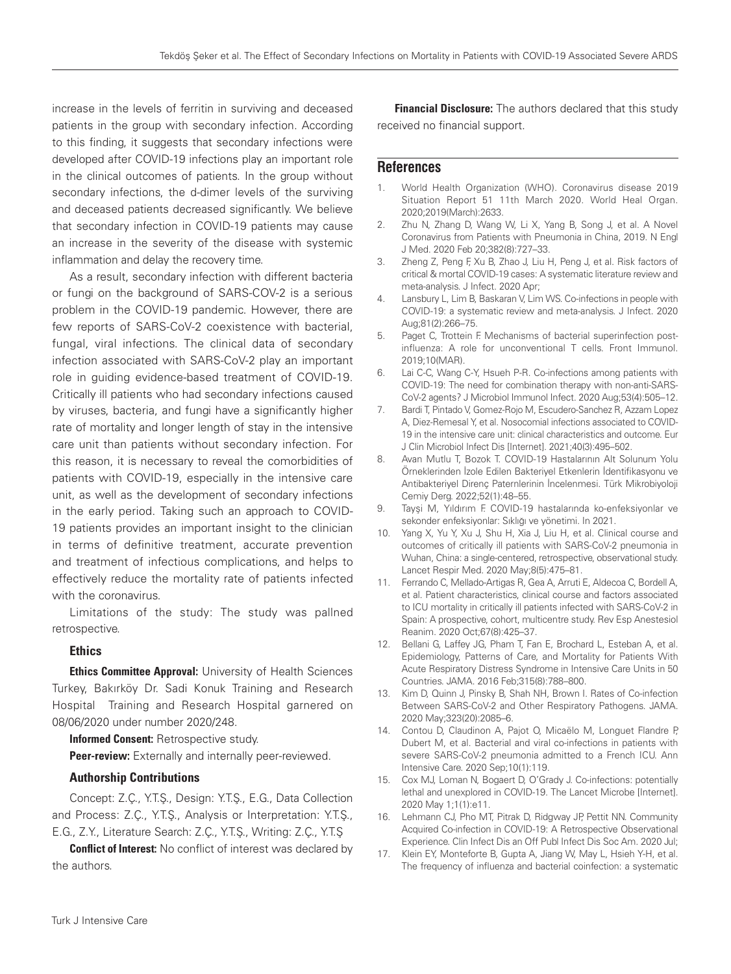increase in the levels of ferritin in surviving and deceased patients in the group with secondary infection. According to this finding, it suggests that secondary infections were developed after COVID-19 infections play an important role in the clinical outcomes of patients. In the group without secondary infections, the d-dimer levels of the surviving and deceased patients decreased significantly. We believe that secondary infection in COVID-19 patients may cause an increase in the severity of the disease with systemic inflammation and delay the recovery time.

As a result, secondary infection with different bacteria or fungi on the background of SARS-COV-2 is a serious problem in the COVID-19 pandemic. However, there are few reports of SARS-CoV-2 coexistence with bacterial, fungal, viral infections. The clinical data of secondary infection associated with SARS-CoV-2 play an important role in guiding evidence-based treatment of COVID-19. Critically ill patients who had secondary infections caused by viruses, bacteria, and fungi have a significantly higher rate of mortality and longer length of stay in the intensive care unit than patients without secondary infection. For this reason, it is necessary to reveal the comorbidities of patients with COVID-19, especially in the intensive care unit, as well as the development of secondary infections in the early period. Taking such an approach to COVID-19 patients provides an important insight to the clinician in terms of definitive treatment, accurate prevention and treatment of infectious complications, and helps to effectively reduce the mortality rate of patients infected with the coronavirus.

Limitations of the study: The study was pallned retrospective.

#### Ethics

Ethics Committee Approval: University of Health Sciences Turkey, Bakırköy Dr. Sadi Konuk Training and Research Hospital Training and Research Hospital garnered on 08/06/2020 under number 2020/248.

**Informed Consent: Retrospective study.** 

**Peer-review:** Externally and internally peer-reviewed.

#### Authorship Contributions

Concept: Z.Ç., Y.T.Ş., Design: Y.T.Ş., E.G., Data Collection and Process: Z.Ç., Y.T.Ş., Analysis or Interpretation: Y.T.Ş., E.G., Z.Y., Literature Search: Z.Ç., Y.T.Ş., Writing: Z.Ç., Y.T.Ş

**Conflict of Interest:** No conflict of interest was declared by the authors.

Financial Disclosure: The authors declared that this study received no financial support.

## **References**

- 1. World Health Organization (WHO). Coronavirus disease 2019 Situation Report 51 11th March 2020. World Heal Organ. 2020;2019(March):2633.
- 2. Zhu N, Zhang D, Wang W, Li X, Yang B, Song J, et al. A Novel Coronavirus from Patients with Pneumonia in China, 2019. N Engl J Med. 2020 Feb 20;382(8):727–33.
- 3. Zheng Z, Peng F, Xu B, Zhao J, Liu H, Peng J, et al. Risk factors of critical & mortal COVID-19 cases: A systematic literature review and meta-analysis. J Infect. 2020 Apr;
- 4. Lansbury L, Lim B, Baskaran V, Lim WS. Co-infections in people with COVID-19: a systematic review and meta-analysis. J Infect. 2020 Aug;81(2):266–75.
- 5. Paget C, Trottein F. Mechanisms of bacterial superinfection postinfluenza: A role for unconventional T cells. Front Immunol. 2019;10(MAR).
- 6. Lai C-C, Wang C-Y, Hsueh P-R. Co-infections among patients with COVID-19: The need for combination therapy with non-anti-SARS-CoV-2 agents? J Microbiol Immunol Infect. 2020 Aug;53(4):505–12.
- 7. Bardi T, Pintado V, Gomez-Rojo M, Escudero-Sanchez R, Azzam Lopez A, Diez-Remesal Y, et al. Nosocomial infections associated to COVID-19 in the intensive care unit: clinical characteristics and outcome. Eur J Clin Microbiol Infect Dis [Internet]. 2021;40(3):495–502.
- 8. Avan Mutlu T, Bozok T. COVID-19 Hastalarının Alt Solunum Yolu Örneklerinden İzole Edilen Bakteriyel Etkenlerin İdentifikasyonu ve Antibakteriyel Direnç Paternlerinin İncelenmesi. Türk Mikrobiyoloji Cemiy Derg. 2022;52(1):48–55.
- 9. Tayşi M, Yıldırım F. COVID-19 hastalarında ko-enfeksiyonlar ve sekonder enfeksiyonlar: Sıklığı ve yönetimi. In 2021.
- 10. Yang X, Yu Y, Xu J, Shu H, Xia J, Liu H, et al. Clinical course and outcomes of critically ill patients with SARS-CoV-2 pneumonia in Wuhan, China: a single-centered, retrospective, observational study. Lancet Respir Med. 2020 May;8(5):475–81.
- 11. Ferrando C, Mellado-Artigas R, Gea A, Arruti E, Aldecoa C, Bordell A, et al. Patient characteristics, clinical course and factors associated to ICU mortality in critically ill patients infected with SARS-CoV-2 in Spain: A prospective, cohort, multicentre study. Rev Esp Anestesiol Reanim. 2020 Oct;67(8):425–37.
- 12. Bellani G, Laffey JG, Pham T, Fan E, Brochard L, Esteban A, et al. Epidemiology, Patterns of Care, and Mortality for Patients With Acute Respiratory Distress Syndrome in Intensive Care Units in 50 Countries. JAMA. 2016 Feb;315(8):788–800.
- 13. Kim D, Quinn J, Pinsky B, Shah NH, Brown I. Rates of Co-infection Between SARS-CoV-2 and Other Respiratory Pathogens. JAMA. 2020 May;323(20):2085–6.
- 14. Contou D, Claudinon A, Pajot O, Micaëlo M, Longuet Flandre P, Dubert M, et al. Bacterial and viral co-infections in patients with severe SARS-CoV-2 pneumonia admitted to a French ICU. Ann Intensive Care. 2020 Sep;10(1):119.
- 15. Cox MJ, Loman N, Bogaert D, O'Grady J. Co-infections: potentially lethal and unexplored in COVID-19. The Lancet Microbe [Internet]. 2020 May 1;1(1):e11.
- 16. Lehmann CJ, Pho MT, Pitrak D, Ridgway JP, Pettit NN. Community Acquired Co-infection in COVID-19: A Retrospective Observational Experience. Clin Infect Dis an Off Publ Infect Dis Soc Am. 2020 Jul;
- 17. Klein EY, Monteforte B, Gupta A, Jiang W, May L, Hsieh Y-H, et al. The frequency of influenza and bacterial coinfection: a systematic